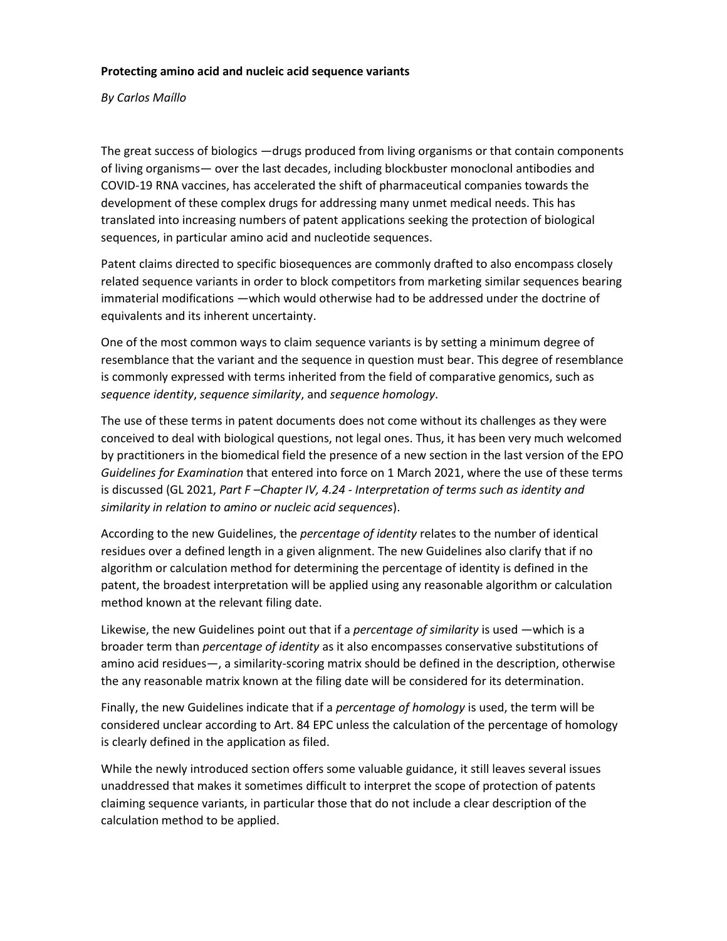## **Protecting amino acid and nucleic acid sequence variants**

*By Carlos Maíllo*

The great success of biologics —drugs produced from living organisms or that contain components of living organisms— over the last decades, including blockbuster monoclonal antibodies and COVID-19 RNA vaccines, has accelerated the shift of pharmaceutical companies towards the development of these complex drugs for addressing many unmet medical needs. This has translated into increasing numbers of patent applications seeking the protection of biological sequences, in particular amino acid and nucleotide sequences.

Patent claims directed to specific biosequences are commonly drafted to also encompass closely related sequence variants in order to block competitors from marketing similar sequences bearing immaterial modifications —which would otherwise had to be addressed under the doctrine of equivalents and its inherent uncertainty.

One of the most common ways to claim sequence variants is by setting a minimum degree of resemblance that the variant and the sequence in question must bear. This degree of resemblance is commonly expressed with terms inherited from the field of comparative genomics, such as *sequence identity*, *sequence similarity*, and *sequence homology*.

The use of these terms in patent documents does not come without its challenges as they were conceived to deal with biological questions, not legal ones. Thus, it has been very much welcomed by practitioners in the biomedical field the presence of a new section in the last version of the EPO *Guidelines for Examination* that entered into force on 1 March 2021, where the use of these terms is discussed (GL 2021, *Part F –Chapter IV, 4.24 - Interpretation of terms such as identity and similarity in relation to amino or nucleic acid sequences*).

According to the new Guidelines, the *percentage of identity* relates to the number of identical residues over a defined length in a given alignment. The new Guidelines also clarify that if no algorithm or calculation method for determining the percentage of identity is defined in the patent, the broadest interpretation will be applied using any reasonable algorithm or calculation method known at the relevant filing date.

Likewise, the new Guidelines point out that if a *percentage of similarity* is used —which is a broader term than *percentage of identity* as it also encompasses conservative substitutions of amino acid residues—, a similarity-scoring matrix should be defined in the description, otherwise the any reasonable matrix known at the filing date will be considered for its determination.

Finally, the new Guidelines indicate that if a *percentage of homology* is used, the term will be considered unclear according to Art. 84 EPC unless the calculation of the percentage of homology is clearly defined in the application as filed.

While the newly introduced section offers some valuable guidance, it still leaves several issues unaddressed that makes it sometimes difficult to interpret the scope of protection of patents claiming sequence variants, in particular those that do not include a clear description of the calculation method to be applied.